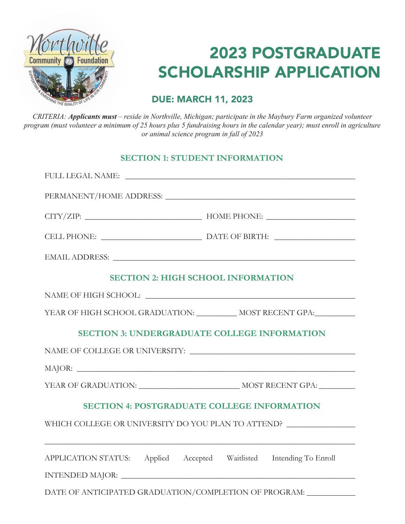

# 2023 POSTGRADUATE SCHOLARSHIP APPLICATION

**2023 Principal and Schoolar School DUE: MARCH 11, 2023** 

CRITERIA: Applicants must - reside in Northville, Michigan; participate in the Maybury Farm organized volunteer program (must volunteer a minimum of 25 hours plus 5 fundraising hours in the calendar year); must enroll in agriculture *Applicant must enroll in classes in summer or fall of 2019 or animal science program in fall of 2023*

## **SECTION 1: STUDENT INFORMATION**

|                                                                                                                   | FULL LEGAL NAME: NAME:                                              |  |
|-------------------------------------------------------------------------------------------------------------------|---------------------------------------------------------------------|--|
|                                                                                                                   |                                                                     |  |
|                                                                                                                   |                                                                     |  |
|                                                                                                                   |                                                                     |  |
|                                                                                                                   |                                                                     |  |
|                                                                                                                   | <b>SECTION 2: HIGH SCHOOL INFORMATION</b>                           |  |
|                                                                                                                   |                                                                     |  |
| YEAR OF HIGH SCHOOL GRADUATION: ______________ MOST RECENT GPA:____________                                       |                                                                     |  |
| <b>SECTION 3: UNDERGRADUATE COLLEGE INFORMATION</b>                                                               |                                                                     |  |
|                                                                                                                   |                                                                     |  |
|                                                                                                                   |                                                                     |  |
|                                                                                                                   |                                                                     |  |
| <b>SECTION 4: POSTGRADUATE COLLEGE INFORMATION</b>                                                                |                                                                     |  |
| WHICH COLLEGE OR UNIVERSITY DO YOU PLAN TO ATTEND?<br><u> 1989 - Johann Stoff, amerikansk politiker (d. 1989)</u> |                                                                     |  |
|                                                                                                                   | APPLICATION STATUS: Applied Accepted Waitlisted Intending To Enroll |  |
|                                                                                                                   |                                                                     |  |
|                                                                                                                   | DATE OF ANTICIPATED GRADUATION/COMPLETION OF PROGRAM: _____________ |  |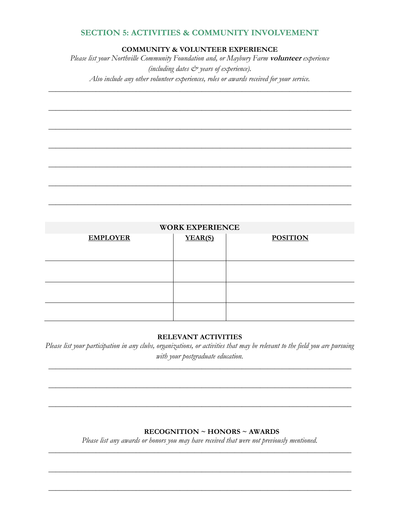#### **SECTION 5: ACTIVITIES & COMMUNITY INVOLVEMENT**

**COMMUNITY & VOLUNTEER EXPERIENCE**

*Please list your Northville Community Foundation and, or Maybury Farm* **volunteer** *experience (including dates & years of experience). Also include any other volunteer experiences, roles or awards received for your service.*

\_\_\_\_\_\_\_\_\_\_\_\_\_\_\_\_\_\_\_\_\_\_\_\_\_\_\_\_\_\_\_\_\_\_\_\_\_\_\_\_\_\_\_\_\_\_\_\_\_\_\_\_\_\_\_\_\_\_\_\_\_\_\_\_\_\_\_\_\_\_\_\_\_\_\_\_\_\_\_\_\_\_\_

\_\_\_\_\_\_\_\_\_\_\_\_\_\_\_\_\_\_\_\_\_\_\_\_\_\_\_\_\_\_\_\_\_\_\_\_\_\_\_\_\_\_\_\_\_\_\_\_\_\_\_\_\_\_\_\_\_\_\_\_\_\_\_\_\_\_\_\_\_\_\_\_\_\_\_\_\_\_\_\_\_\_\_

\_\_\_\_\_\_\_\_\_\_\_\_\_\_\_\_\_\_\_\_\_\_\_\_\_\_\_\_\_\_\_\_\_\_\_\_\_\_\_\_\_\_\_\_\_\_\_\_\_\_\_\_\_\_\_\_\_\_\_\_\_\_\_\_\_\_\_\_\_\_\_\_\_\_\_\_\_\_\_\_\_\_\_

\_\_\_\_\_\_\_\_\_\_\_\_\_\_\_\_\_\_\_\_\_\_\_\_\_\_\_\_\_\_\_\_\_\_\_\_\_\_\_\_\_\_\_\_\_\_\_\_\_\_\_\_\_\_\_\_\_\_\_\_\_\_\_\_\_\_\_\_\_\_\_\_\_\_\_\_\_\_\_\_\_\_\_

\_\_\_\_\_\_\_\_\_\_\_\_\_\_\_\_\_\_\_\_\_\_\_\_\_\_\_\_\_\_\_\_\_\_\_\_\_\_\_\_\_\_\_\_\_\_\_\_\_\_\_\_\_\_\_\_\_\_\_\_\_\_\_\_\_\_\_\_\_\_\_\_\_\_\_\_\_\_\_\_\_\_\_

\_\_\_\_\_\_\_\_\_\_\_\_\_\_\_\_\_\_\_\_\_\_\_\_\_\_\_\_\_\_\_\_\_\_\_\_\_\_\_\_\_\_\_\_\_\_\_\_\_\_\_\_\_\_\_\_\_\_\_\_\_\_\_\_\_\_\_\_\_\_\_\_\_\_\_\_\_\_\_\_\_\_\_

\_\_\_\_\_\_\_\_\_\_\_\_\_\_\_\_\_\_\_\_\_\_\_\_\_\_\_\_\_\_\_\_\_\_\_\_\_\_\_\_\_\_\_\_\_\_\_\_\_\_\_\_\_\_\_\_\_\_\_\_\_\_\_\_\_\_\_\_\_\_\_\_\_\_\_\_\_\_\_\_\_\_\_

| <b>WORK EXPERIENCE</b> |         |                 |  |
|------------------------|---------|-----------------|--|
| <b>EMPLOYER</b>        | YEAR(S) | <b>POSITION</b> |  |
|                        |         |                 |  |
|                        |         |                 |  |
|                        |         |                 |  |
|                        |         |                 |  |
|                        |         |                 |  |
|                        |         |                 |  |
|                        |         |                 |  |
|                        |         |                 |  |

#### **RELEVANT ACTIVITIES**

*Please list your participation in any clubs, organizations, or activities that may be relevant to the field you are pursuing with your postgraduate education.*

\_\_\_\_\_\_\_\_\_\_\_\_\_\_\_\_\_\_\_\_\_\_\_\_\_\_\_\_\_\_\_\_\_\_\_\_\_\_\_\_\_\_\_\_\_\_\_\_\_\_\_\_\_\_\_\_\_\_\_\_\_\_\_\_\_\_\_\_\_\_\_\_\_\_\_\_\_\_\_\_\_\_\_

\_\_\_\_\_\_\_\_\_\_\_\_\_\_\_\_\_\_\_\_\_\_\_\_\_\_\_\_\_\_\_\_\_\_\_\_\_\_\_\_\_\_\_\_\_\_\_\_\_\_\_\_\_\_\_\_\_\_\_\_\_\_\_\_\_\_\_\_\_\_\_\_\_\_\_\_\_\_\_\_\_\_\_

\_\_\_\_\_\_\_\_\_\_\_\_\_\_\_\_\_\_\_\_\_\_\_\_\_\_\_\_\_\_\_\_\_\_\_\_\_\_\_\_\_\_\_\_\_\_\_\_\_\_\_\_\_\_\_\_\_\_\_\_\_\_\_\_\_\_\_\_\_\_\_\_\_\_\_\_\_\_\_\_\_\_\_

#### **RECOGNITION ~ HONORS ~ AWARDS**

*Please list any awards or honors you may have received that were not previously mentioned.* \_\_\_\_\_\_\_\_\_\_\_\_\_\_\_\_\_\_\_\_\_\_\_\_\_\_\_\_\_\_\_\_\_\_\_\_\_\_\_\_\_\_\_\_\_\_\_\_\_\_\_\_\_\_\_\_\_\_\_\_\_\_\_\_\_\_\_\_\_\_\_\_\_\_\_\_\_\_\_\_\_\_\_

\_\_\_\_\_\_\_\_\_\_\_\_\_\_\_\_\_\_\_\_\_\_\_\_\_\_\_\_\_\_\_\_\_\_\_\_\_\_\_\_\_\_\_\_\_\_\_\_\_\_\_\_\_\_\_\_\_\_\_\_\_\_\_\_\_\_\_\_\_\_\_\_\_\_\_\_\_\_\_\_\_\_\_

\_\_\_\_\_\_\_\_\_\_\_\_\_\_\_\_\_\_\_\_\_\_\_\_\_\_\_\_\_\_\_\_\_\_\_\_\_\_\_\_\_\_\_\_\_\_\_\_\_\_\_\_\_\_\_\_\_\_\_\_\_\_\_\_\_\_\_\_\_\_\_\_\_\_\_\_\_\_\_\_\_\_\_